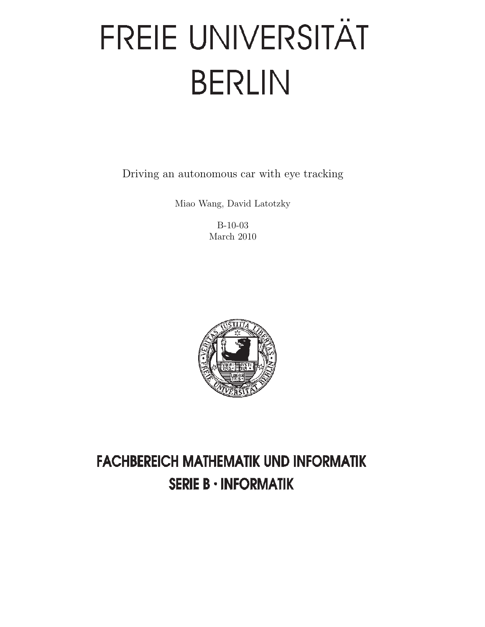# FREIE UNIVERSITÄT **BERLIN**

Driving an autonomous car with eye tracking

Miao Wang, David Latotzky

B-10-03 March 2010



# **FACHBEREICH MATHEMATIK UND INFORMATIK SERIE B · INFORMATIK**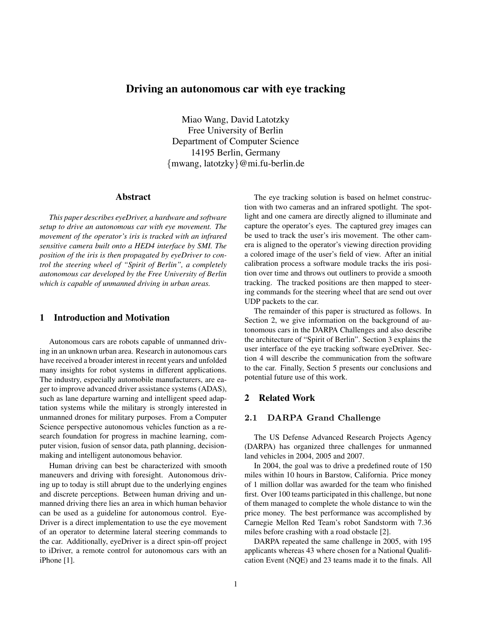# Driving an autonomous car with eye tracking

Miao Wang, David Latotzky Free University of Berlin Department of Computer Science 14195 Berlin, Germany {mwang, latotzky}@mi.fu-berlin.de

# Abstract

*This paper describes eyeDriver, a hardware and software setup to drive an autonomous car with eye movement. The movement of the operator's iris is tracked with an infrared sensitive camera built onto a HED4 interface by SMI. The position of the iris is then propagated by eyeDriver to control the steering wheel of "Spirit of Berlin", a completely autonomous car developed by the Free University of Berlin which is capable of unmanned driving in urban areas.*

# 1 Introduction and Motivation

Autonomous cars are robots capable of unmanned driving in an unknown urban area. Research in autonomous cars have received a broader interest in recent years and unfolded many insights for robot systems in different applications. The industry, especially automobile manufacturers, are eager to improve advanced driver assistance systems (ADAS), such as lane departure warning and intelligent speed adaptation systems while the military is strongly interested in unmanned drones for military purposes. From a Computer Science perspective autonomous vehicles function as a research foundation for progress in machine learning, computer vision, fusion of sensor data, path planning, decisionmaking and intelligent autonomous behavior.

Human driving can best be characterized with smooth maneuvers and driving with foresight. Autonomous driving up to today is still abrupt due to the underlying engines and discrete perceptions. Between human driving and unmanned driving there lies an area in which human behavior can be used as a guideline for autonomous control. Eye-Driver is a direct implementation to use the eye movement of an operator to determine lateral steering commands to the car. Additionally, eyeDriver is a direct spin-off project to iDriver, a remote control for autonomous cars with an iPhone [1].

The eye tracking solution is based on helmet construction with two cameras and an infrared spotlight. The spotlight and one camera are directly aligned to illuminate and capture the operator's eyes. The captured grey images can be used to track the user's iris movement. The other camera is aligned to the operator's viewing direction providing a colored image of the user's field of view. After an initial calibration process a software module tracks the iris position over time and throws out outliners to provide a smooth tracking. The tracked positions are then mapped to steering commands for the steering wheel that are send out over UDP packets to the car.

The remainder of this paper is structured as follows. In Section 2, we give information on the background of autonomous cars in the DARPA Challenges and also describe the architecture of "Spirit of Berlin". Section 3 explains the user interface of the eye tracking software eyeDriver. Section 4 will describe the communication from the software to the car. Finally, Section 5 presents our conclusions and potential future use of this work.

# 2 Related Work

# 2.1 DARPA Grand Challenge

The US Defense Advanced Research Projects Agency (DARPA) has organized three challenges for unmanned land vehicles in 2004, 2005 and 2007.

In 2004, the goal was to drive a predefined route of 150 miles within 10 hours in Barstow, California. Price money of 1 million dollar was awarded for the team who finished first. Over 100 teams participated in this challenge, but none of them managed to complete the whole distance to win the price money. The best performance was accomplished by Carnegie Mellon Red Team's robot Sandstorm with 7.36 miles before crashing with a road obstacle [2].

DARPA repeated the same challenge in 2005, with 195 applicants whereas 43 where chosen for a National Qualification Event (NQE) and 23 teams made it to the finals. All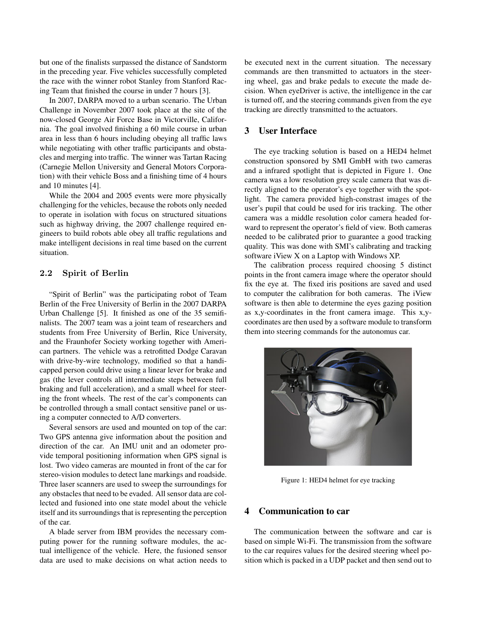but one of the finalists surpassed the distance of Sandstorm in the preceding year. Five vehicles successfully completed the race with the winner robot Stanley from Stanford Racing Team that finished the course in under 7 hours [3].

In 2007, DARPA moved to a urban scenario. The Urban Challenge in November 2007 took place at the site of the now-closed George Air Force Base in Victorville, California. The goal involved finishing a 60 mile course in urban area in less than 6 hours including obeying all traffic laws while negotiating with other traffic participants and obstacles and merging into traffic. The winner was Tartan Racing (Carnegie Mellon University and General Motors Corporation) with their vehicle Boss and a finishing time of 4 hours and 10 minutes [4].

While the 2004 and 2005 events were more physically challenging for the vehicles, because the robots only needed to operate in isolation with focus on structured situations such as highway driving, the 2007 challenge required engineers to build robots able obey all traffic regulations and make intelligent decisions in real time based on the current situation.

# 2.2 Spirit of Berlin

"Spirit of Berlin" was the participating robot of Team Berlin of the Free University of Berlin in the 2007 DARPA Urban Challenge [5]. It finished as one of the 35 semifinalists. The 2007 team was a joint team of researchers and students from Free University of Berlin, Rice University, and the Fraunhofer Society working together with American partners. The vehicle was a retrofitted Dodge Caravan with drive-by-wire technology, modified so that a handicapped person could drive using a linear lever for brake and gas (the lever controls all intermediate steps between full braking and full acceleration), and a small wheel for steering the front wheels. The rest of the car's components can be controlled through a small contact sensitive panel or using a computer connected to A/D converters.

Several sensors are used and mounted on top of the car: Two GPS antenna give information about the position and direction of the car. An IMU unit and an odometer provide temporal positioning information when GPS signal is lost. Two video cameras are mounted in front of the car for stereo-vision modules to detect lane markings and roadside. Three laser scanners are used to sweep the surroundings for any obstacles that need to be evaded. All sensor data are collected and fusioned into one state model about the vehicle itself and its surroundings that is representing the perception of the car.

A blade server from IBM provides the necessary computing power for the running software modules, the actual intelligence of the vehicle. Here, the fusioned sensor data are used to make decisions on what action needs to be executed next in the current situation. The necessary commands are then transmitted to actuators in the steering wheel, gas and brake pedals to execute the made decision. When eyeDriver is active, the intelligence in the car is turned off, and the steering commands given from the eye tracking are directly transmitted to the actuators.

# 3 User Interface

The eye tracking solution is based on a HED4 helmet construction sponsored by SMI GmbH with two cameras and a infrared spotlight that is depicted in Figure 1. One camera was a low resolution grey scale camera that was directly aligned to the operator's eye together with the spotlight. The camera provided high-constrast images of the user's pupil that could be used for iris tracking. The other camera was a middle resolution color camera headed forward to represent the operator's field of view. Both cameras needed to be calibrated prior to guarantee a good tracking quality. This was done with SMI's calibrating and tracking software iView X on a Laptop with Windows XP.

The calibration process required choosing 5 distinct points in the front camera image where the operator should fix the eye at. The fixed iris positions are saved and used to computer the calibration for both cameras. The iView software is then able to determine the eyes gazing position as x,y-coordinates in the front camera image. This x,ycoordinates are then used by a software module to transform them into steering commands for the autonomus car.



Figure 1: HED4 helmet for eye tracking

#### 4 Communication to car

The communication between the software and car is based on simple Wi-Fi. The transmission from the software to the car requires values for the desired steering wheel position which is packed in a UDP packet and then send out to